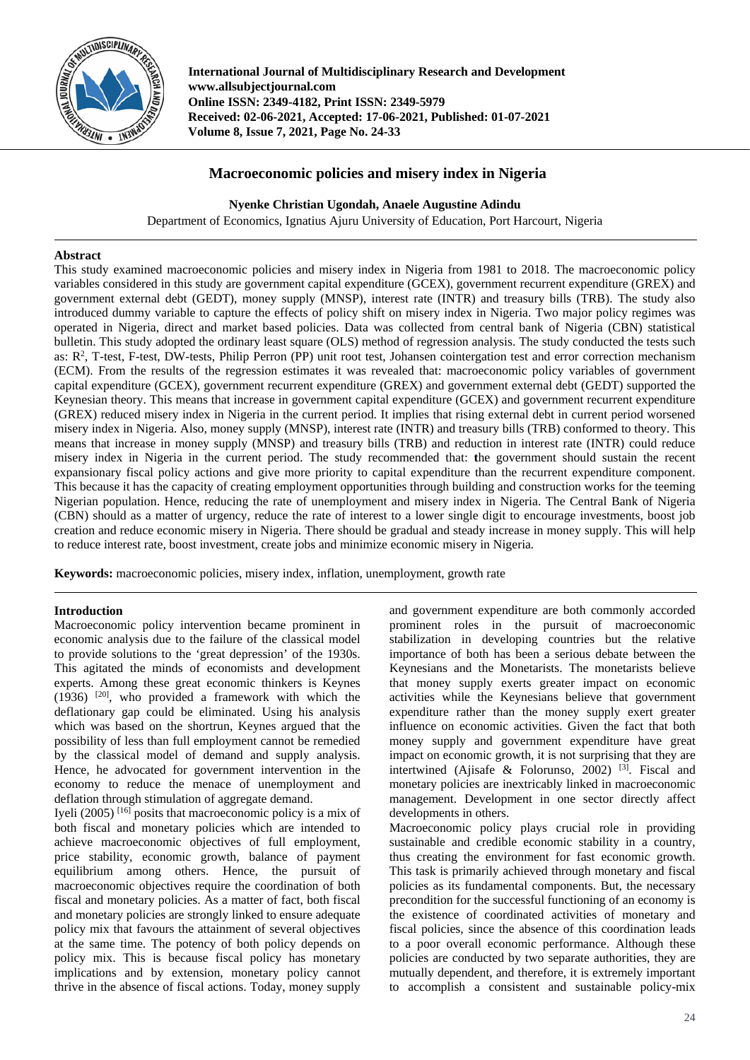

**International Journal of Multidisciplinary Research and Development www.allsubjectjournal.com Online ISSN: 2349-4182, Print ISSN: 2349-5979 Received: 02-06-2021, Accepted: 17-06-2021, Published: 01-07-2021 Volume 8, Issue 7, 2021, Page No. 24-33**

# **Macroeconomic policies and misery index in Nigeria**

**Nyenke Christian Ugondah, Anaele Augustine Adindu**

Department of Economics, Ignatius Ajuru University of Education, Port Harcourt, Nigeria

## **Abstract**

This study examined macroeconomic policies and misery index in Nigeria from 1981 to 2018. The macroeconomic policy variables considered in this study are government capital expenditure (GCEX), government recurrent expenditure (GREX) and government external debt (GEDT), money supply (MNSP), interest rate (INTR) and treasury bills (TRB). The study also introduced dummy variable to capture the effects of policy shift on misery index in Nigeria. Two major policy regimes was operated in Nigeria, direct and market based policies. Data was collected from central bank of Nigeria (CBN) statistical bulletin. This study adopted the ordinary least square (OLS) method of regression analysis. The study conducted the tests such as: R<sup>2</sup>, T-test, F-test, DW-tests, Philip Perron (PP) unit root test, Johansen cointergation test and error correction mechanism (ECM). From the results of the regression estimates it was revealed that: macroeconomic policy variables of government capital expenditure (GCEX), government recurrent expenditure (GREX) and government external debt (GEDT) supported the Keynesian theory. This means that increase in government capital expenditure (GCEX) and government recurrent expenditure (GREX) reduced misery index in Nigeria in the current period. It implies that rising external debt in current period worsened misery index in Nigeria. Also, money supply (MNSP), interest rate (INTR) and treasury bills (TRB) conformed to theory. This means that increase in money supply (MNSP) and treasury bills (TRB) and reduction in interest rate (INTR) could reduce misery index in Nigeria in the current period. The study recommended that: **t**he government should sustain the recent expansionary fiscal policy actions and give more priority to capital expenditure than the recurrent expenditure component. This because it has the capacity of creating employment opportunities through building and construction works for the teeming Nigerian population. Hence, reducing the rate of unemployment and misery index in Nigeria. The Central Bank of Nigeria (CBN) should as a matter of urgency, reduce the rate of interest to a lower single digit to encourage investments, boost job creation and reduce economic misery in Nigeria. There should be gradual and steady increase in money supply. This will help to reduce interest rate, boost investment, create jobs and minimize economic misery in Nigeria*.*

**Keywords:** macroeconomic policies, misery index, inflation, unemployment, growth rate

## **Introduction**

Macroeconomic policy intervention became prominent in economic analysis due to the failure of the classical model to provide solutions to the 'great depression' of the 1930s. This agitated the minds of economists and development experts. Among these great economic thinkers is Keynes  $(1936)$ <sup>[20]</sup>, who provided a framework with which the deflationary gap could be eliminated. Using his analysis which was based on the shortrun, Keynes argued that the possibility of less than full employment cannot be remedied by the classical model of demand and supply analysis. Hence, he advocated for government intervention in the economy to reduce the menace of unemployment and deflation through stimulation of aggregate demand.

Iyeli (2005) [16] posits that macroeconomic policy is a mix of both fiscal and monetary policies which are intended to achieve macroeconomic objectives of full employment, price stability, economic growth, balance of payment equilibrium among others. Hence, the pursuit of macroeconomic objectives require the coordination of both fiscal and monetary policies. As a matter of fact, both fiscal and monetary policies are strongly linked to ensure adequate policy mix that favours the attainment of several objectives at the same time. The potency of both policy depends on policy mix. This is because fiscal policy has monetary implications and by extension, monetary policy cannot thrive in the absence of fiscal actions. Today, money supply

and government expenditure are both commonly accorded prominent roles in the pursuit of macroeconomic stabilization in developing countries but the relative importance of both has been a serious debate between the Keynesians and the Monetarists. The monetarists believe that money supply exerts greater impact on economic activities while the Keynesians believe that government expenditure rather than the money supply exert greater influence on economic activities. Given the fact that both money supply and government expenditure have great impact on economic growth, it is not surprising that they are intertwined (Ajisafe & Folorunso, 2002) [3] . Fiscal and monetary policies are inextricably linked in macroeconomic management. Development in one sector directly affect developments in others.

Macroeconomic policy plays crucial role in providing sustainable and credible economic stability in a country, thus creating the environment for fast economic growth. This task is primarily achieved through monetary and fiscal policies as its fundamental components. But, the necessary precondition for the successful functioning of an economy is the existence of coordinated activities of monetary and fiscal policies, since the absence of this coordination leads to a poor overall economic performance. Although these policies are conducted by two separate authorities, they are mutually dependent, and therefore, it is extremely important to accomplish a consistent and sustainable policy-mix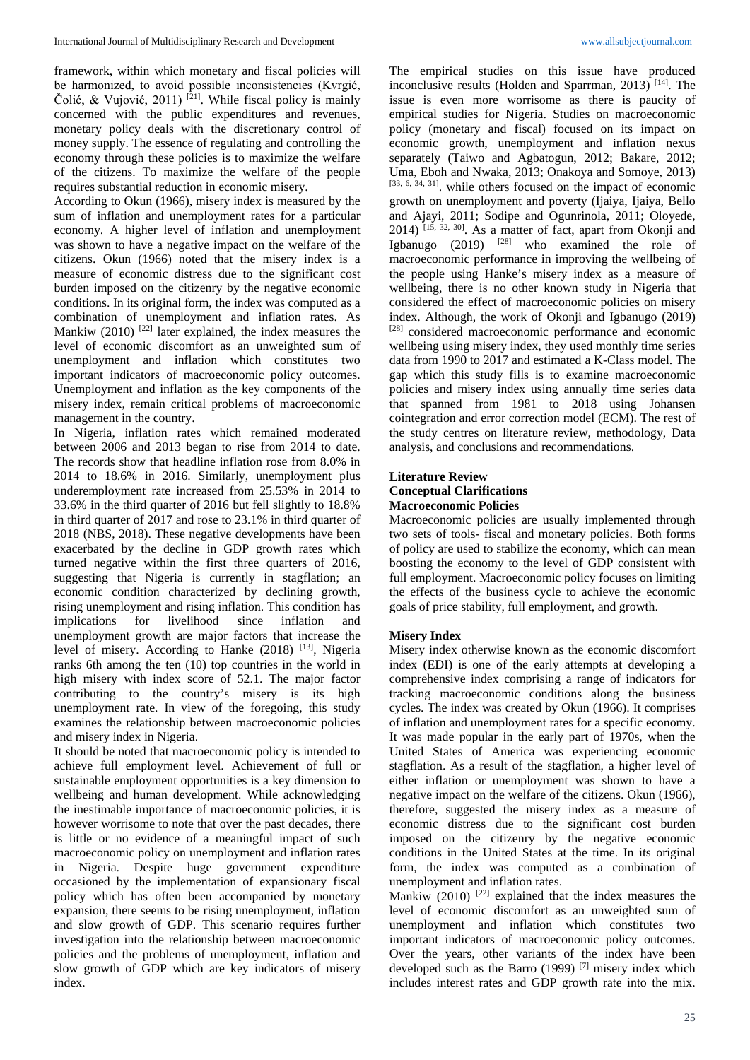framework, within which monetary and fiscal policies will be harmonized, to avoid possible inconsistencies (Kvrgić, Čolić, & Vujović, 2011)<sup>[21]</sup>. While fiscal policy is mainly concerned with the public expenditures and revenues, monetary policy deals with the discretionary control of money supply. The essence of regulating and controlling the economy through these policies is to maximize the welfare of the citizens. To maximize the welfare of the people requires substantial reduction in economic misery.

According to Okun (1966), misery index is measured by the sum of inflation and unemployment rates for a particular economy. A higher level of inflation and unemployment was shown to have a negative impact on the welfare of the citizens. Okun (1966) noted that the misery index is a measure of economic distress due to the significant cost burden imposed on the citizenry by the negative economic conditions. In its original form, the index was computed as a combination of unemployment and inflation rates. As Mankiw (2010)  $^{[22]}$  later explained, the index measures the level of economic discomfort as an unweighted sum of unemployment and inflation which constitutes two important indicators of macroeconomic policy outcomes. Unemployment and inflation as the key components of the misery index, remain critical problems of macroeconomic management in the country.

In Nigeria, inflation rates which remained moderated between 2006 and 2013 began to rise from 2014 to date. The records show that headline inflation rose from 8.0% in 2014 to 18.6% in 2016. Similarly, unemployment plus underemployment rate increased from 25.53% in 2014 to 33.6% in the third quarter of 2016 but fell slightly to 18.8% in third quarter of 2017 and rose to 23.1% in third quarter of 2018 (NBS, 2018). These negative developments have been exacerbated by the decline in GDP growth rates which turned negative within the first three quarters of 2016, suggesting that Nigeria is currently in stagflation; an economic condition characterized by declining growth, rising unemployment and rising inflation. This condition has implications for livelihood since inflation and unemployment growth are major factors that increase the level of misery. According to Hanke (2018) [13], Nigeria ranks 6th among the ten (10) top countries in the world in high misery with index score of 52.1. The major factor contributing to the country's misery is its high unemployment rate. In view of the foregoing, this study examines the relationship between macroeconomic policies and misery index in Nigeria.

It should be noted that macroeconomic policy is intended to achieve full employment level. Achievement of full or sustainable employment opportunities is a key dimension to wellbeing and human development. While acknowledging the inestimable importance of macroeconomic policies, it is however worrisome to note that over the past decades, there is little or no evidence of a meaningful impact of such macroeconomic policy on unemployment and inflation rates in Nigeria. Despite huge government expenditure occasioned by the implementation of expansionary fiscal policy which has often been accompanied by monetary expansion, there seems to be rising unemployment, inflation and slow growth of GDP. This scenario requires further investigation into the relationship between macroeconomic policies and the problems of unemployment, inflation and slow growth of GDP which are key indicators of misery index.

The empirical studies on this issue have produced inconclusive results (Holden and Sparrman, 2013)<sup>[14]</sup>. The issue is even more worrisome as there is paucity of empirical studies for Nigeria. Studies on macroeconomic policy (monetary and fiscal) focused on its impact on economic growth, unemployment and inflation nexus separately (Taiwo and Agbatogun, 2012; Bakare, 2012; Uma, Eboh and Nwaka, 2013; Onakoya and Somoye, 2013) [33, 6, 34, 31]. while others focused on the impact of economic growth on unemployment and poverty (Ijaiya, Ijaiya, Bello and Ajayi, 2011; Sodipe and Ogunrinola, 2011; Oloyede, 2014) [15, 32, 30] . As a matter of fact, apart from Okonji and Igbanugo  $(2019)$  <sup>[28]</sup> who examined the role of macroeconomic performance in improving the wellbeing of the people using Hanke's misery index as a measure of wellbeing, there is no other known study in Nigeria that considered the effect of macroeconomic policies on misery index. Although, the work of Okonji and Igbanugo (2019) [28] considered macroeconomic performance and economic wellbeing using misery index, they used monthly time series data from 1990 to 2017 and estimated a K-Class model. The gap which this study fills is to examine macroeconomic policies and misery index using annually time series data that spanned from 1981 to 2018 using Johansen cointegration and error correction model (ECM). The rest of the study centres on literature review, methodology, Data analysis, and conclusions and recommendations.

## **Literature Review Conceptual Clarifications Macroeconomic Policies**

Macroeconomic policies are usually implemented through two sets of tools- fiscal and monetary policies. Both forms of policy are used to stabilize the economy, which can mean boosting the economy to the level of GDP consistent with full employment. Macroeconomic policy focuses on limiting the effects of the business cycle to achieve the economic goals of price stability, full employment, and growth.

## **Misery Index**

Misery index otherwise known as the economic discomfort index (EDI) is one of the early attempts at developing a comprehensive index comprising a range of indicators for tracking macroeconomic conditions along the business cycles. The index was created by Okun (1966). It comprises of inflation and unemployment rates for a specific economy. It was made popular in the early part of 1970s, when the United States of America was experiencing economic stagflation. As a result of the stagflation, a higher level of either inflation or unemployment was shown to have a negative impact on the welfare of the citizens. Okun (1966), therefore, suggested the misery index as a measure of economic distress due to the significant cost burden imposed on the citizenry by the negative economic conditions in the United States at the time. In its original form, the index was computed as a combination of unemployment and inflation rates.

Mankiw  $(2010)$ <sup>[22]</sup> explained that the index measures the level of economic discomfort as an unweighted sum of unemployment and inflation which constitutes two important indicators of macroeconomic policy outcomes. Over the years, other variants of the index have been developed such as the Barro (1999) [7] misery index which includes interest rates and GDP growth rate into the mix.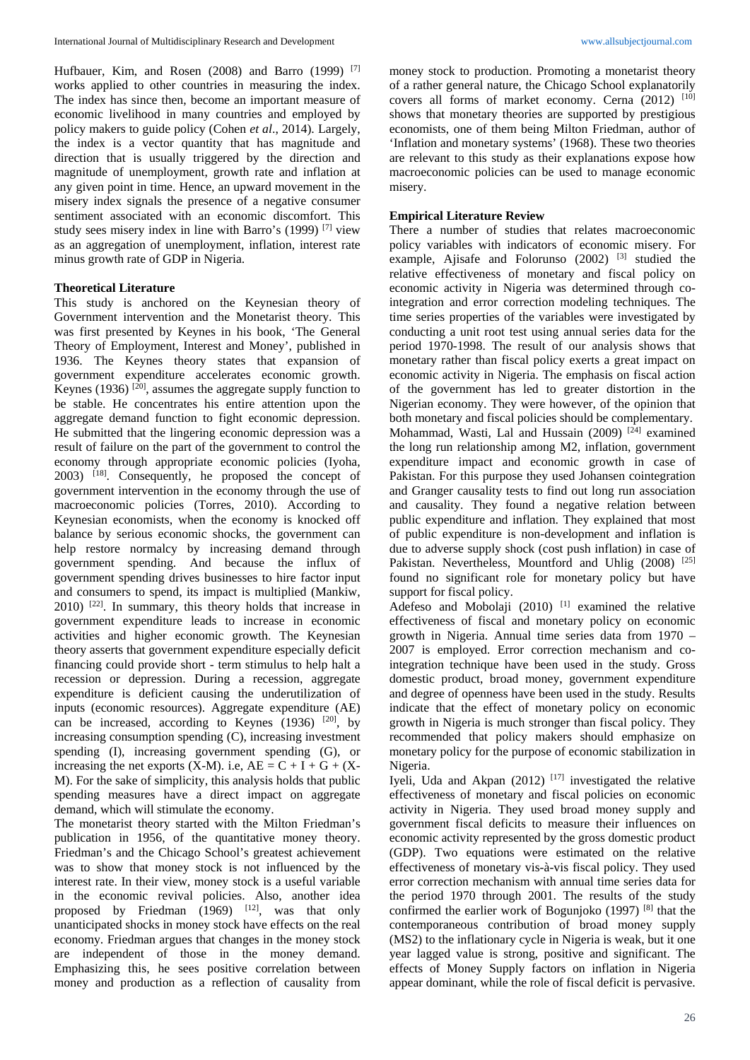Hufbauer, Kim, and Rosen (2008) and Barro (1999) <sup>[7]</sup> works applied to other countries in measuring the index. The index has since then, become an important measure of economic livelihood in many countries and employed by policy makers to guide policy (Cohen *et al*., 2014). Largely, the index is a vector quantity that has magnitude and direction that is usually triggered by the direction and magnitude of unemployment, growth rate and inflation at any given point in time. Hence, an upward movement in the misery index signals the presence of a negative consumer sentiment associated with an economic discomfort. This study sees misery index in line with Barro's (1999) [7] view as an aggregation of unemployment, inflation, interest rate minus growth rate of GDP in Nigeria.

## **Theoretical Literature**

This study is anchored on the Keynesian theory of Government intervention and the Monetarist theory. This was first presented by Keynes in his book, 'The General Theory of Employment, Interest and Money', published in 1936. The Keynes theory states that expansion of government expenditure accelerates economic growth. Keynes (1936)<sup>[20]</sup>, assumes the aggregate supply function to be stable. He concentrates his entire attention upon the aggregate demand function to fight economic depression. He submitted that the lingering economic depression was a result of failure on the part of the government to control the economy through appropriate economic policies (Iyoha, 2003) [18] . Consequently, he proposed the concept of government intervention in the economy through the use of macroeconomic policies (Torres, 2010). According to Keynesian economists, when the economy is knocked off balance by serious economic shocks, the government can help restore normalcy by increasing demand through government spending. And because the influx of government spending drives businesses to hire factor input and consumers to spend, its impact is multiplied (Mankiw, 2010) [22] . In summary, this theory holds that increase in government expenditure leads to increase in economic activities and higher economic growth. The Keynesian theory asserts that government expenditure especially deficit financing could provide short - term stimulus to help halt a recession or depression. During a recession, aggregate expenditure is deficient causing the underutilization of inputs (economic resources). Aggregate expenditure (AE) can be increased, according to Keynes  $(1936)$ <sup>[20]</sup>, by increasing consumption spending (C), increasing investment spending (I), increasing government spending (G), or increasing the net exports  $(X-M)$ . i.e,  $AE = C + I + G + (X-H)$ M). For the sake of simplicity, this analysis holds that public spending measures have a direct impact on aggregate demand, which will stimulate the economy.

The monetarist theory started with the Milton Friedman's publication in 1956, of the quantitative money theory. Friedman's and the Chicago School's greatest achievement was to show that money stock is not influenced by the interest rate. In their view, money stock is a useful variable in the economic revival policies. Also, another idea proposed by Friedman  $(1969)$  <sup>[12]</sup>, was that only unanticipated shocks in money stock have effects on the real economy. Friedman argues that changes in the money stock are independent of those in the money demand. Emphasizing this, he sees positive correlation between money and production as a reflection of causality from

money stock to production. Promoting a monetarist theory of a rather general nature, the Chicago School explanatorily covers all forms of market economy. Cerna  $(2012)$ <sup>[10]</sup> shows that monetary theories are supported by prestigious economists, one of them being Milton Friedman, author of 'Inflation and monetary systems' (1968). These two theories are relevant to this study as their explanations expose how macroeconomic policies can be used to manage economic misery.

## **Empirical Literature Review**

There a number of studies that relates macroeconomic policy variables with indicators of economic misery. For example, Ajisafe and Folorunso (2002) <sup>[3]</sup> studied the relative effectiveness of monetary and fiscal policy on economic activity in Nigeria was determined through cointegration and error correction modeling techniques. The time series properties of the variables were investigated by conducting a unit root test using annual series data for the period 1970-1998. The result of our analysis shows that monetary rather than fiscal policy exerts a great impact on economic activity in Nigeria. The emphasis on fiscal action of the government has led to greater distortion in the Nigerian economy. They were however, of the opinion that both monetary and fiscal policies should be complementary. Mohammad, Wasti, Lal and Hussain (2009)<sup>[24]</sup> examined the long run relationship among M2, inflation, government expenditure impact and economic growth in case of Pakistan. For this purpose they used Johansen cointegration and Granger causality tests to find out long run association and causality. They found a negative relation between public expenditure and inflation. They explained that most of public expenditure is non-development and inflation is due to adverse supply shock (cost push inflation) in case of Pakistan. Nevertheless, Mountford and Uhlig (2008) <sup>[25]</sup> found no significant role for monetary policy but have support for fiscal policy.

Adefeso and Mobolaji (2010)<sup>[1]</sup> examined the relative effectiveness of fiscal and monetary policy on economic growth in Nigeria. Annual time series data from 1970 – 2007 is employed. Error correction mechanism and cointegration technique have been used in the study. Gross domestic product, broad money, government expenditure and degree of openness have been used in the study. Results indicate that the effect of monetary policy on economic growth in Nigeria is much stronger than fiscal policy. They recommended that policy makers should emphasize on monetary policy for the purpose of economic stabilization in Nigeria.

Iyeli, Uda and Akpan  $(2012)$ <sup>[17]</sup> investigated the relative effectiveness of monetary and fiscal policies on economic activity in Nigeria. They used broad money supply and government fiscal deficits to measure their influences on economic activity represented by the gross domestic product (GDP). Two equations were estimated on the relative effectiveness of monetary vis-à-vis fiscal policy. They used error correction mechanism with annual time series data for the period 1970 through 2001. The results of the study confirmed the earlier work of Bogunjoko (1997) [8] that the contemporaneous contribution of broad money supply (MS2) to the inflationary cycle in Nigeria is weak, but it one year lagged value is strong, positive and significant. The effects of Money Supply factors on inflation in Nigeria appear dominant, while the role of fiscal deficit is pervasive.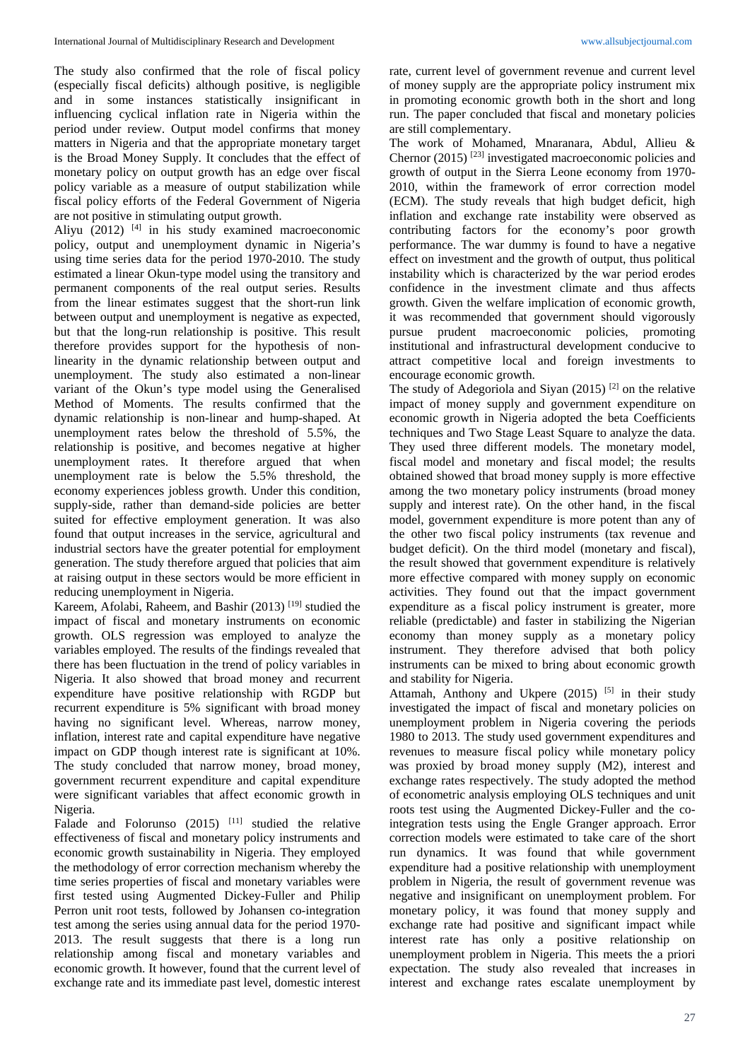The study also confirmed that the role of fiscal policy (especially fiscal deficits) although positive, is negligible and in some instances statistically insignificant in influencing cyclical inflation rate in Nigeria within the period under review. Output model confirms that money matters in Nigeria and that the appropriate monetary target is the Broad Money Supply. It concludes that the effect of monetary policy on output growth has an edge over fiscal policy variable as a measure of output stabilization while fiscal policy efforts of the Federal Government of Nigeria are not positive in stimulating output growth.

Aliyu  $(2012)$  <sup>[4]</sup> in his study examined macroeconomic policy, output and unemployment dynamic in Nigeria's using time series data for the period 1970-2010. The study estimated a linear Okun-type model using the transitory and permanent components of the real output series. Results from the linear estimates suggest that the short-run link between output and unemployment is negative as expected, but that the long-run relationship is positive. This result therefore provides support for the hypothesis of nonlinearity in the dynamic relationship between output and unemployment. The study also estimated a non-linear variant of the Okun's type model using the Generalised Method of Moments. The results confirmed that the dynamic relationship is non-linear and hump-shaped. At unemployment rates below the threshold of 5.5%, the relationship is positive, and becomes negative at higher unemployment rates. It therefore argued that when unemployment rate is below the 5.5% threshold, the economy experiences jobless growth. Under this condition, supply-side, rather than demand-side policies are better suited for effective employment generation. It was also found that output increases in the service, agricultural and industrial sectors have the greater potential for employment generation. The study therefore argued that policies that aim at raising output in these sectors would be more efficient in reducing unemployment in Nigeria.

Kareem, Afolabi, Raheem, and Bashir (2013) [19] studied the impact of fiscal and monetary instruments on economic growth. OLS regression was employed to analyze the variables employed. The results of the findings revealed that there has been fluctuation in the trend of policy variables in Nigeria. It also showed that broad money and recurrent expenditure have positive relationship with RGDP but recurrent expenditure is 5% significant with broad money having no significant level. Whereas, narrow money, inflation, interest rate and capital expenditure have negative impact on GDP though interest rate is significant at 10%. The study concluded that narrow money, broad money, government recurrent expenditure and capital expenditure were significant variables that affect economic growth in Nigeria.

Falade and Folorunso  $(2015)$ <sup>[11]</sup> studied the relative effectiveness of fiscal and monetary policy instruments and economic growth sustainability in Nigeria. They employed the methodology of error correction mechanism whereby the time series properties of fiscal and monetary variables were first tested using Augmented Dickey-Fuller and Philip Perron unit root tests, followed by Johansen co-integration test among the series using annual data for the period 1970- 2013. The result suggests that there is a long run relationship among fiscal and monetary variables and economic growth. It however, found that the current level of exchange rate and its immediate past level, domestic interest rate, current level of government revenue and current level of money supply are the appropriate policy instrument mix in promoting economic growth both in the short and long run. The paper concluded that fiscal and monetary policies are still complementary.

The work of Mohamed, Mnaranara, Abdul, Allieu & Chernor (2015) [23] investigated macroeconomic policies and growth of output in the Sierra Leone economy from 1970- 2010, within the framework of error correction model (ECM). The study reveals that high budget deficit, high inflation and exchange rate instability were observed as contributing factors for the economy's poor growth performance. The war dummy is found to have a negative effect on investment and the growth of output, thus political instability which is characterized by the war period erodes confidence in the investment climate and thus affects growth. Given the welfare implication of economic growth, it was recommended that government should vigorously pursue prudent macroeconomic policies, promoting institutional and infrastructural development conducive to attract competitive local and foreign investments to encourage economic growth.

The study of Adegoriola and Siyan  $(2015)$ <sup>[2]</sup> on the relative impact of money supply and government expenditure on economic growth in Nigeria adopted the beta Coefficients techniques and Two Stage Least Square to analyze the data. They used three different models. The monetary model, fiscal model and monetary and fiscal model; the results obtained showed that broad money supply is more effective among the two monetary policy instruments (broad money supply and interest rate). On the other hand, in the fiscal model, government expenditure is more potent than any of the other two fiscal policy instruments (tax revenue and budget deficit). On the third model (monetary and fiscal), the result showed that government expenditure is relatively more effective compared with money supply on economic activities. They found out that the impact government expenditure as a fiscal policy instrument is greater, more reliable (predictable) and faster in stabilizing the Nigerian economy than money supply as a monetary policy instrument. They therefore advised that both policy instruments can be mixed to bring about economic growth and stability for Nigeria.

Attamah, Anthony and Ukpere  $(2015)$ <sup>[5]</sup> in their study investigated the impact of fiscal and monetary policies on unemployment problem in Nigeria covering the periods 1980 to 2013. The study used government expenditures and revenues to measure fiscal policy while monetary policy was proxied by broad money supply (M2), interest and exchange rates respectively. The study adopted the method of econometric analysis employing OLS techniques and unit roots test using the Augmented Dickey-Fuller and the cointegration tests using the Engle Granger approach. Error correction models were estimated to take care of the short run dynamics. It was found that while government expenditure had a positive relationship with unemployment problem in Nigeria, the result of government revenue was negative and insignificant on unemployment problem. For monetary policy, it was found that money supply and exchange rate had positive and significant impact while interest rate has only a positive relationship on unemployment problem in Nigeria. This meets the a priori expectation. The study also revealed that increases in interest and exchange rates escalate unemployment by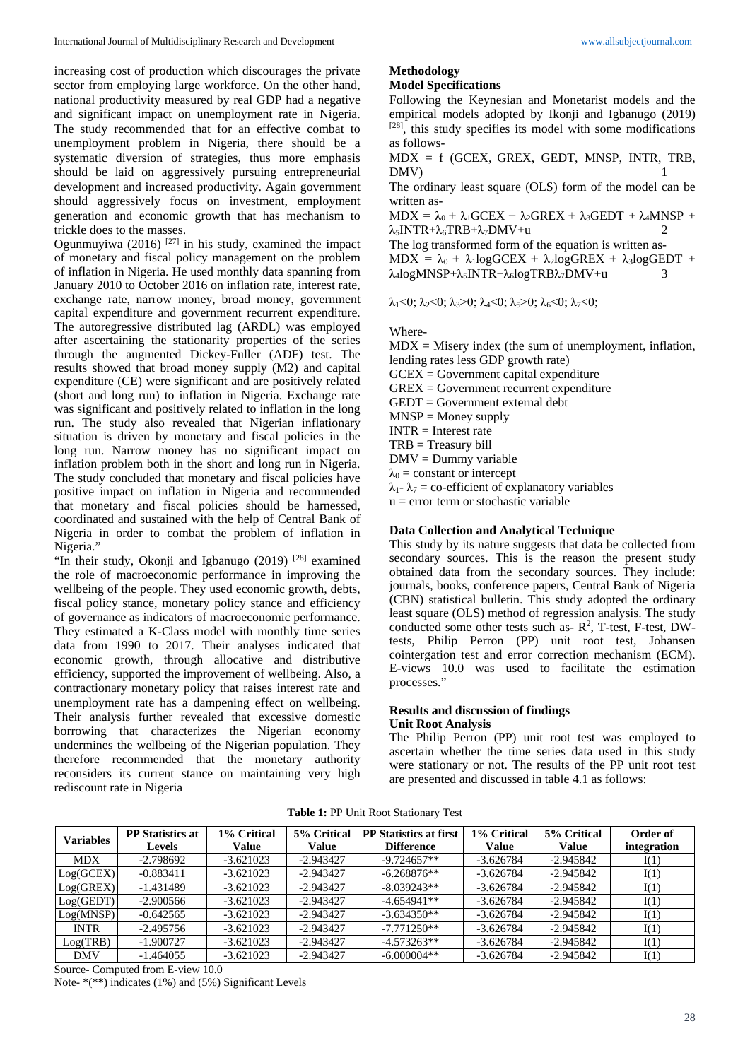increasing cost of production which discourages the private sector from employing large workforce. On the other hand, national productivity measured by real GDP had a negative and significant impact on unemployment rate in Nigeria. The study recommended that for an effective combat to unemployment problem in Nigeria, there should be a systematic diversion of strategies, thus more emphasis should be laid on aggressively pursuing entrepreneurial development and increased productivity. Again government should aggressively focus on investment, employment generation and economic growth that has mechanism to trickle does to the masses.

Ogunmuyiwa (2016)  $[27]$  in his study, examined the impact of monetary and fiscal policy management on the problem of inflation in Nigeria. He used monthly data spanning from January 2010 to October 2016 on inflation rate, interest rate, exchange rate, narrow money, broad money, government capital expenditure and government recurrent expenditure. The autoregressive distributed lag (ARDL) was employed after ascertaining the stationarity properties of the series through the augmented Dickey-Fuller (ADF) test. The results showed that broad money supply (M2) and capital expenditure (CE) were significant and are positively related (short and long run) to inflation in Nigeria. Exchange rate was significant and positively related to inflation in the long run. The study also revealed that Nigerian inflationary situation is driven by monetary and fiscal policies in the long run. Narrow money has no significant impact on inflation problem both in the short and long run in Nigeria. The study concluded that monetary and fiscal policies have positive impact on inflation in Nigeria and recommended that monetary and fiscal policies should be harnessed, coordinated and sustained with the help of Central Bank of Nigeria in order to combat the problem of inflation in Nigeria."

"In their study, Okonji and Igbanugo (2019)<sup>[28]</sup> examined the role of macroeconomic performance in improving the wellbeing of the people. They used economic growth, debts, fiscal policy stance, monetary policy stance and efficiency of governance as indicators of macroeconomic performance. They estimated a K-Class model with monthly time series data from 1990 to 2017. Their analyses indicated that economic growth, through allocative and distributive efficiency, supported the improvement of wellbeing. Also, a contractionary monetary policy that raises interest rate and unemployment rate has a dampening effect on wellbeing. Their analysis further revealed that excessive domestic borrowing that characterizes the Nigerian economy undermines the wellbeing of the Nigerian population. They therefore recommended that the monetary authority reconsiders its current stance on maintaining very high rediscount rate in Nigeria

#### **Methodology Model Specifications**

Following the Keynesian and Monetarist models and the empirical models adopted by Ikonji and Igbanugo (2019)  $[28]$ , this study specifies its model with some modifications as follows-

MDX = f (GCEX, GREX, GEDT, MNSP, INTR, TRB, DMV)

The ordinary least square (OLS) form of the model can be written as-

 $MDX = \lambda_0 + \lambda_1 GCEX + \lambda_2 GREX + \lambda_3 GEDT + \lambda_4 MNSP +$  $\lambda_5$ INTR+ $\lambda_6$ TRB+ $\lambda_7$ DMV+u 2

The log transformed form of the equation is written as- $MDX = \lambda_0 + \lambda_1 log GCEX + \lambda_2 log GREX + \lambda_3 log GEDT +$  $\lambda_4$ logMNSP+ $\lambda_5$ INTR+ $\lambda_6$ logTRB $\lambda_7$ DMV+u 3

 $\lambda_1$ <0;  $\lambda_2$ <0;  $\lambda_3$ >0;  $\lambda_4$ <0;  $\lambda_5$ >0;  $\lambda_6$ <0;  $\lambda_7$ <0;

### Where-

 $MDX =$  Misery index (the sum of unemployment, inflation, lending rates less GDP growth rate) GCEX = Government capital expenditure GREX = Government recurrent expenditure GEDT = Government external debt  $MNSP =$ Money supply  $INTR = Interest rate$ TRB = Treasury bill DMV = Dummy variable  $\lambda_0$  = constant or intercept  $λ_1$ -  $λ_7$  = co-efficient of explanatory variables  $u =$  error term or stochastic variable

## **Data Collection and Analytical Technique**

This study by its nature suggests that data be collected from secondary sources. This is the reason the present study obtained data from the secondary sources. They include: journals, books, conference papers, Central Bank of Nigeria (CBN) statistical bulletin. This study adopted the ordinary least square (OLS) method of regression analysis. The study conducted some other tests such as- $R^2$ , T-test, F-test, DWtests, Philip Perron (PP) unit root test, Johansen cointergation test and error correction mechanism (ECM). E-views 10.0 was used to facilitate the estimation processes."

# **Results and discussion of findings**

#### **Unit Root Analysis**

The Philip Perron (PP) unit root test was employed to ascertain whether the time series data used in this study were stationary or not. The results of the PP unit root test are presented and discussed in table 4.1 as follows:

| Table 1: PP Unit Root Stationary Test |  |  |  |
|---------------------------------------|--|--|--|
|---------------------------------------|--|--|--|

| <b>Variables</b> | <b>PP</b> Statistics at | 1% Critical | 5% Critical | <b>PP</b> Statistics at first | 1% Critical | 5% Critical | Order of    |
|------------------|-------------------------|-------------|-------------|-------------------------------|-------------|-------------|-------------|
|                  | <b>Levels</b>           | Value       | Value       | <b>Difference</b>             | Value       | Value       | integration |
| <b>MDX</b>       | $-2.798692$             | $-3.621023$ | $-2.943427$ | $-9.724657**$                 | $-3.626784$ | $-2.945842$ | I(1)        |
| Log(GCEX)        | $-0.883411$             | $-3.621023$ | $-2.943427$ | $-6.268876**$                 | $-3.626784$ | $-2.945842$ | I(1)        |
| Log(GREX)        | $-1.431489$             | $-3.621023$ | $-2.943427$ | $-8.039243**$                 | $-3.626784$ | $-2.945842$ | I(1)        |
| Log(GEDT)        | $-2.900566$             | $-3.621023$ | $-2.943427$ | $-4.654941**$                 | $-3.626784$ | $-2.945842$ | I(1)        |
| Log(MNSP)        | $-0.642565$             | $-3.621023$ | $-2.943427$ | $-3.634350**$                 | $-3.626784$ | $-2.945842$ | I(1)        |
| <b>INTR</b>      | $-2.495756$             | $-3.621023$ | $-2.943427$ | $-7.771250**$                 | $-3.626784$ | $-2.945842$ | I(1)        |
| Log(TRB)         | $-1.900727$             | $-3.621023$ | $-2.943427$ | $-4.573263**$                 | $-3.626784$ | $-2.945842$ | I(1)        |
| <b>DMV</b>       | $-1.464055$             | $-3.621023$ | $-2.943427$ | $-6.000004**$                 | $-3.626784$ | $-2.945842$ | I(1)        |

Source- Computed from E-view 10.0

Note- \*(\*\*) indicates (1%) and (5%) Significant Levels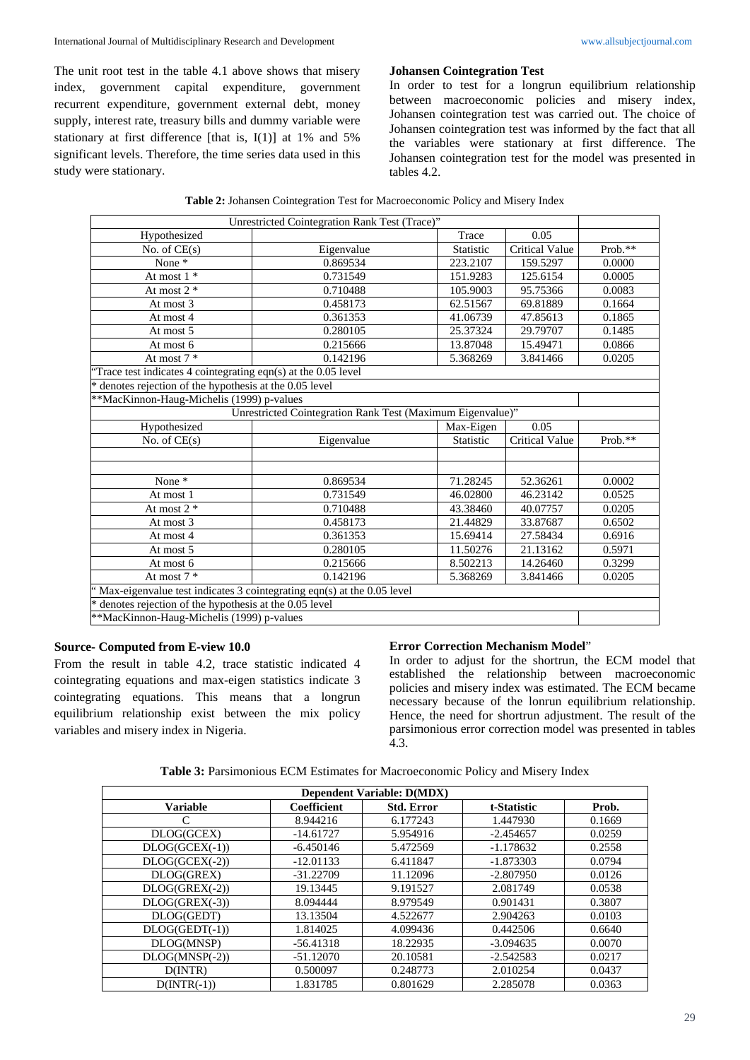The unit root test in the table 4.1 above shows that misery index, government capital expenditure, government recurrent expenditure, government external debt, money supply, interest rate, treasury bills and dummy variable were stationary at first difference [that is, I(1)] at 1% and 5% significant levels. Therefore, the time series data used in this study were stationary.

### **Johansen Cointegration Test**

In order to test for a longrun equilibrium relationship between macroeconomic policies and misery index, Johansen cointegration test was carried out. The choice of Johansen cointegration test was informed by the fact that all the variables were stationary at first difference. The Johansen cointegration test for the model was presented in tables 4.2.

|                                                                         | Unrestricted Cointegration Rank Test (Trace)"              |           |                       |         |
|-------------------------------------------------------------------------|------------------------------------------------------------|-----------|-----------------------|---------|
| Hypothesized                                                            |                                                            | Trace     | 0.05                  |         |
| No. of $CE(s)$                                                          | Eigenvalue                                                 | Statistic | Critical Value        | Prob.** |
| None $*$                                                                | 0.869534                                                   | 223.2107  | 159.5297              | 0.0000  |
| At most $1 *$                                                           | 0.731549                                                   | 151.9283  | 125.6154              | 0.0005  |
| At most $2^*$                                                           | 0.710488                                                   | 105.9003  | 95.75366              | 0.0083  |
| At most 3                                                               | 0.458173                                                   | 62.51567  | 69.81889              | 0.1664  |
| At most 4                                                               | 0.361353                                                   | 41.06739  | 47.85613              | 0.1865  |
| At most 5                                                               | 0.280105                                                   | 25.37324  | 29.79707              | 0.1485  |
| At most 6                                                               | 0.215666                                                   | 13.87048  | 15.49471              | 0.0866  |
| At most $7 *$                                                           | 0.142196                                                   | 5.368269  | 3.841466              | 0.0205  |
| Trace test indicates 4 cointegrating eqn(s) at the 0.05 level           |                                                            |           |                       |         |
| denotes rejection of the hypothesis at the 0.05 level                   |                                                            |           |                       |         |
| **MacKinnon-Haug-Michelis (1999) p-values                               |                                                            |           |                       |         |
|                                                                         | Unrestricted Cointegration Rank Test (Maximum Eigenvalue)" |           |                       |         |
| Hypothesized                                                            |                                                            | Max-Eigen | 0.05                  |         |
| No. of $CE(s)$                                                          | Eigenvalue                                                 | Statistic | <b>Critical Value</b> | Prob.** |
|                                                                         |                                                            |           |                       |         |
|                                                                         |                                                            |           |                       |         |
| None $*$                                                                | 0.869534                                                   | 71.28245  | 52.36261              | 0.0002  |
| At most 1                                                               | 0.731549                                                   | 46.02800  | 46.23142              | 0.0525  |
| At most 2 *                                                             | 0.710488                                                   | 43.38460  | 40.07757              | 0.0205  |
| At most 3                                                               | 0.458173                                                   | 21.44829  | 33.87687              | 0.6502  |
| At most 4                                                               | 0.361353                                                   | 15.69414  | 27.58434              | 0.6916  |
| At most 5                                                               | 0.280105                                                   | 11.50276  | 21.13162              | 0.5971  |
| At most 6                                                               | 0.215666                                                   | 8.502213  | 14.26460              | 0.3299  |
| At most $7 *$                                                           | 0.142196                                                   | 5.368269  | 3.841466              | 0.0205  |
| 'Max-eigenvalue test indicates 3 cointegrating eqn(s) at the 0.05 level |                                                            |           |                       |         |
| * denotes rejection of the hypothesis at the 0.05 level                 |                                                            |           |                       |         |
| **MacKinnon-Haug-Michelis (1999) p-values                               |                                                            |           |                       |         |

| Table 2: Johansen Cointegration Test for Macroeconomic Policy and Misery Index |  |  |
|--------------------------------------------------------------------------------|--|--|
|--------------------------------------------------------------------------------|--|--|

#### **Source- Computed from E-view 10.0**

From the result in table 4.2, trace statistic indicated 4 cointegrating equations and max-eigen statistics indicate 3 cointegrating equations. This means that a longrun equilibrium relationship exist between the mix policy variables and misery index in Nigeria.

#### **Error Correction Mechanism Model**"

In order to adjust for the shortrun, the ECM model that established the relationship between macroeconomic policies and misery index was estimated. The ECM became necessary because of the lonrun equilibrium relationship. Hence, the need for shortrun adjustment. The result of the parsimonious error correction model was presented in tables  $4.3.$ 

| <b>Table 3:</b> Parsimonious ECM Estimates for Macroeconomic Policy and Misery Index |
|--------------------------------------------------------------------------------------|
|--------------------------------------------------------------------------------------|

| <b>Dependent Variable: D(MDX)</b> |                    |                   |             |        |  |  |
|-----------------------------------|--------------------|-------------------|-------------|--------|--|--|
| <b>Variable</b>                   | <b>Coefficient</b> | <b>Std. Error</b> | t-Statistic | Prob.  |  |  |
|                                   | 8.944216           | 6.177243          | 1.447930    | 0.1669 |  |  |
| DLOG(GCEX)                        | $-14.61727$        | 5.954916          | $-2.454657$ | 0.0259 |  |  |
| $DLOG(GCEX(-1))$                  | $-6.450146$        | 5.472569          | $-1.178632$ | 0.2558 |  |  |
| $DLOG(GCEX(-2))$                  | $-12.01133$        | 6.411847          | $-1.873303$ | 0.0794 |  |  |
| DLOG(GREX)                        | $-31.22709$        | 11.12096          | $-2.807950$ | 0.0126 |  |  |
| $DLOG(GREX(-2))$                  | 19.13445           | 9.191527          | 2.081749    | 0.0538 |  |  |
| $DLOG(GREX(-3))$                  | 8.094444           | 8.979549          | 0.901431    | 0.3807 |  |  |
| DLOG(GEDT)                        | 13.13504           | 4.522677          | 2.904263    | 0.0103 |  |  |
| $DLOG(GEDT(-1))$                  | 1.814025           | 4.099436          | 0.442506    | 0.6640 |  |  |
| DLOG(MNSP)                        | $-56.41318$        | 18.22935          | $-3.094635$ | 0.0070 |  |  |
| $DLOG(MNSP(-2))$                  | $-51.12070$        | 20.10581          | $-2.542583$ | 0.0217 |  |  |
| D(INTER)                          | 0.500097           | 0.248773          | 2.010254    | 0.0437 |  |  |
| $D(INTER(-1))$                    | 1.831785           | 0.801629          | 2.285078    | 0.0363 |  |  |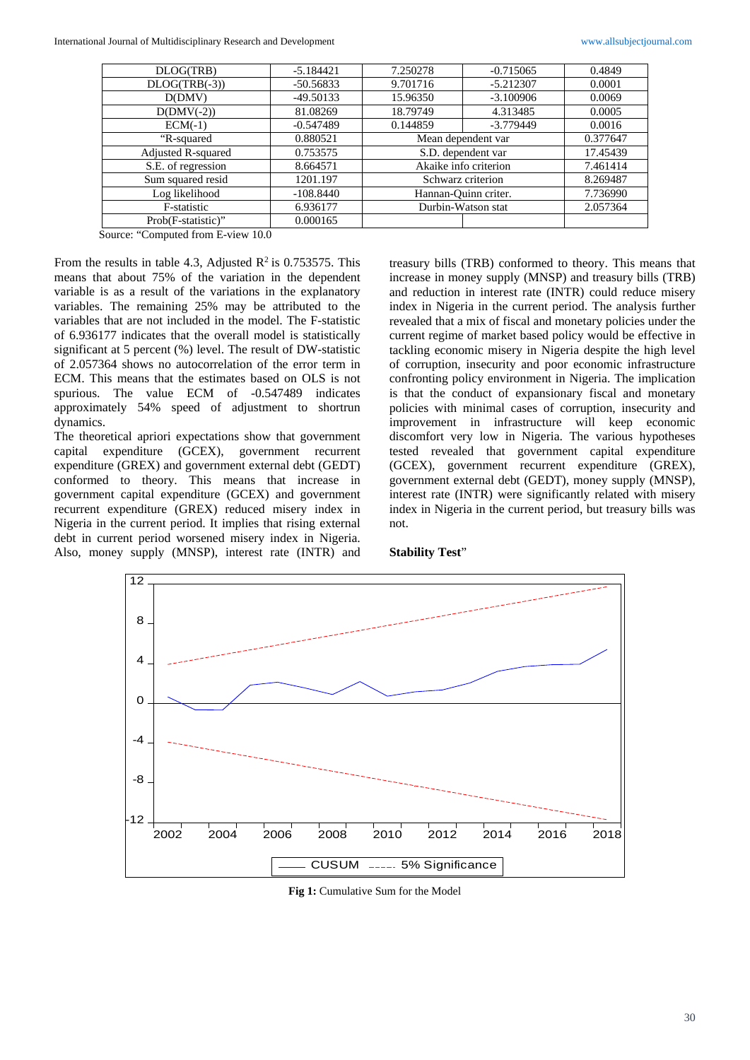| DLOG(TRB)          | $-5.184421$ | 7.250278                | $-0.715065$ | 0.4849   |
|--------------------|-------------|-------------------------|-------------|----------|
| $DLOG(TRB(-3))$    | $-50.56833$ | 9.701716<br>$-5.212307$ |             | 0.0001   |
| D(DMV)             | $-49.50133$ | $-3.100906$<br>15.96350 |             | 0.0069   |
| $D(DMV(-2))$       | 81.08269    | 18.79749<br>4.313485    |             | 0.0005   |
| $ECM(-1)$          | $-0.547489$ | 0.144859                | $-3.779449$ | 0.0016   |
| "R-squared         | 0.880521    | Mean dependent var      |             | 0.377647 |
| Adjusted R-squared | 0.753575    | S.D. dependent var      |             | 17.45439 |
| S.E. of regression | 8.664571    | Akaike info criterion   |             | 7.461414 |
| Sum squared resid  | 1201.197    | Schwarz criterion       |             | 8.269487 |
| Log likelihood     | $-108.8440$ | Hannan-Ouinn criter.    |             | 7.736990 |
| F-statistic        | 6.936177    | Durbin-Watson stat      |             | 2.057364 |
| Prob(F-statistic)" | 0.000165    |                         |             |          |

Source: "Computed from E-view 10.0

From the results in table 4.3, Adjusted  $\mathbb{R}^2$  is 0.753575. This means that about 75% of the variation in the dependent variable is as a result of the variations in the explanatory variables. The remaining 25% may be attributed to the variables that are not included in the model. The F-statistic of 6.936177 indicates that the overall model is statistically significant at 5 percent (%) level. The result of DW-statistic of 2.057364 shows no autocorrelation of the error term in ECM. This means that the estimates based on OLS is not spurious. The value ECM of -0.547489 indicates approximately 54% speed of adjustment to shortrun dynamics.

The theoretical apriori expectations show that government capital expenditure (GCEX), government recurrent expenditure (GREX) and government external debt (GEDT) conformed to theory. This means that increase in government capital expenditure (GCEX) and government recurrent expenditure (GREX) reduced misery index in Nigeria in the current period. It implies that rising external debt in current period worsened misery index in Nigeria. Also, money supply (MNSP), interest rate (INTR) and

treasury bills (TRB) conformed to theory. This means that increase in money supply (MNSP) and treasury bills (TRB) and reduction in interest rate (INTR) could reduce misery index in Nigeria in the current period. The analysis further revealed that a mix of fiscal and monetary policies under the current regime of market based policy would be effective in tackling economic misery in Nigeria despite the high level of corruption, insecurity and poor economic infrastructure confronting policy environment in Nigeria. The implication is that the conduct of expansionary fiscal and monetary policies with minimal cases of corruption, insecurity and improvement in infrastructure will keep economic discomfort very low in Nigeria. The various hypotheses tested revealed that government capital expenditure (GCEX), government recurrent expenditure (GREX), government external debt (GEDT), money supply (MNSP), interest rate (INTR) were significantly related with misery index in Nigeria in the current period, but treasury bills was not.

#### **Stability Test**"



Fig 1: Cumulative Sum for the Model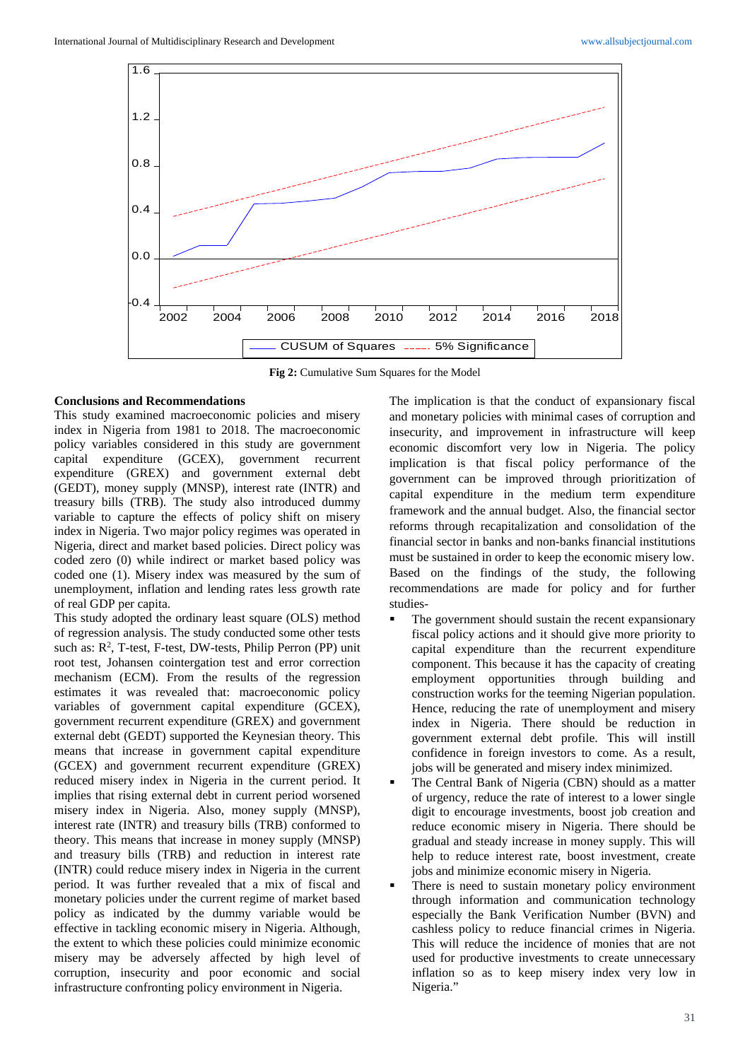

**Fig 2:** Cumulative Sum Squares for the Model

#### **Conclusions and Recommendations**

This study examined macroeconomic policies and misery index in Nigeria from 1981 to 2018. The macroeconomic policy variables considered in this study are government capital expenditure (GCEX), government recurrent expenditure (GREX) and government external debt (GEDT), money supply (MNSP), interest rate (INTR) and treasury bills (TRB). The study also introduced dummy variable to capture the effects of policy shift on misery index in Nigeria. Two major policy regimes was operated in Nigeria, direct and market based policies. Direct policy was coded zero (0) while indirect or market based policy was coded one (1). Misery index was measured by the sum of unemployment, inflation and lending rates less growth rate of real GDP per capita.

This study adopted the ordinary least square (OLS) method of regression analysis. The study conducted some other tests such as: R<sup>2</sup>, T-test, F-test, DW-tests, Philip Perron (PP) unit root test, Johansen cointergation test and error correction mechanism (ECM). From the results of the regression estimates it was revealed that: macroeconomic policy variables of government capital expenditure (GCEX), government recurrent expenditure (GREX) and government external debt (GEDT) supported the Keynesian theory. This means that increase in government capital expenditure (GCEX) and government recurrent expenditure (GREX) reduced misery index in Nigeria in the current period. It implies that rising external debt in current period worsened misery index in Nigeria. Also, money supply (MNSP), interest rate (INTR) and treasury bills (TRB) conformed to theory. This means that increase in money supply (MNSP) and treasury bills (TRB) and reduction in interest rate (INTR) could reduce misery index in Nigeria in the current period. It was further revealed that a mix of fiscal and monetary policies under the current regime of market based policy as indicated by the dummy variable would be effective in tackling economic misery in Nigeria. Although, the extent to which these policies could minimize economic misery may be adversely affected by high level of corruption, insecurity and poor economic and social infrastructure confronting policy environment in Nigeria.

The implication is that the conduct of expansionary fiscal and monetary policies with minimal cases of corruption and insecurity, and improvement in infrastructure will keep economic discomfort very low in Nigeria. The policy implication is that fiscal policy performance of the government can be improved through prioritization of capital expenditure in the medium term expenditure framework and the annual budget. Also, the financial sector reforms through recapitalization and consolidation of the financial sector in banks and non-banks financial institutions must be sustained in order to keep the economic misery low. Based on the findings of the study, the following recommendations are made for policy and for further studies-

- The government should sustain the recent expansionary fiscal policy actions and it should give more priority to capital expenditure than the recurrent expenditure component. This because it has the capacity of creating employment opportunities through building and construction works for the teeming Nigerian population. Hence, reducing the rate of unemployment and misery index in Nigeria. There should be reduction in government external debt profile. This will instill confidence in foreign investors to come. As a result, jobs will be generated and misery index minimized.
- The Central Bank of Nigeria (CBN) should as a matter of urgency, reduce the rate of interest to a lower single digit to encourage investments, boost job creation and reduce economic misery in Nigeria. There should be gradual and steady increase in money supply. This will help to reduce interest rate, boost investment, create jobs and minimize economic misery in Nigeria.
- There is need to sustain monetary policy environment through information and communication technology especially the Bank Verification Number (BVN) and cashless policy to reduce financial crimes in Nigeria. This will reduce the incidence of monies that are not used for productive investments to create unnecessary inflation so as to keep misery index very low in Nigeria."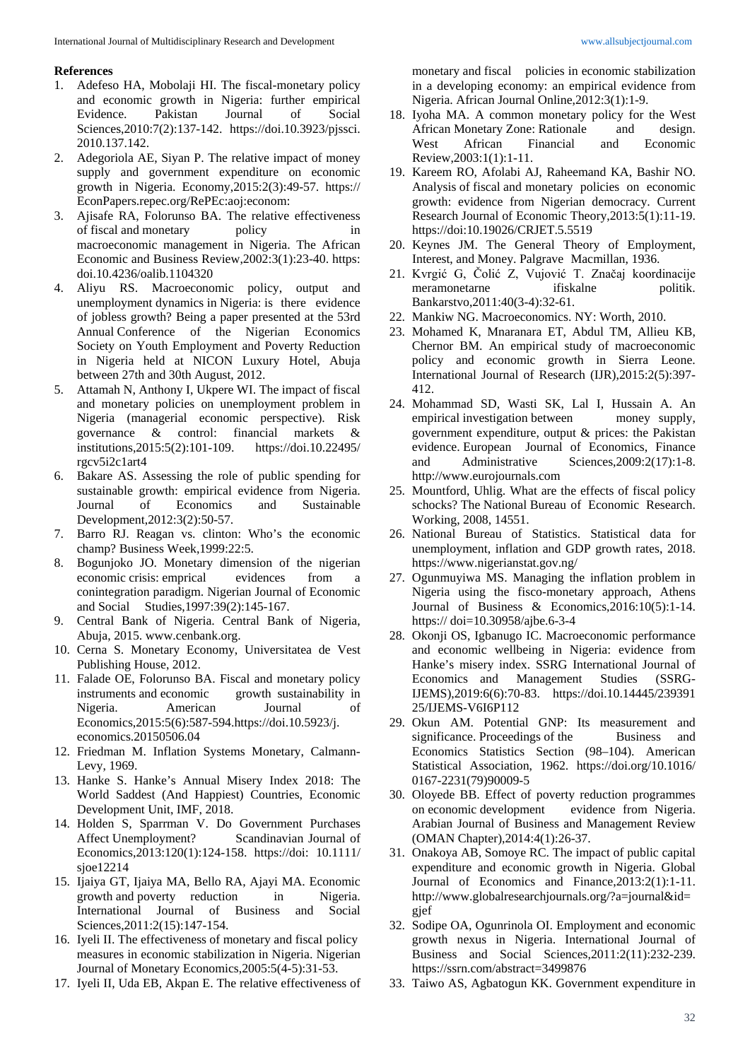#### **References**

- 1. Adefeso HA, Mobolaji HI. The fiscal-monetary policy and economic growth in Nigeria: further empirical Evidence. Pakistan Journal of Social Sciences,2010:7(2):137-142. https://doi.10.3923/pjssci. 2010.137.142.
- 2. Adegoriola AE, Siyan P. The relative impact of money supply and government expenditure on economic growth in Nigeria. Economy,2015:2(3):49-57. https:// EconPapers.repec.org/RePEc:aoj:econom:
- 3. Ajisafe RA, Folorunso BA. The relative effectiveness of fiscal and monetary policy in macroeconomic management in Nigeria. The African Economic and Business Review,2002:3(1):23-40. https: doi.10.4236/oalib.1104320
- 4. Aliyu RS. Macroeconomic policy, output and unemployment dynamics in Nigeria: is there evidence of jobless growth? Being a paper presented at the 53rd Annual Conference of the Nigerian Economics Society on Youth Employment and Poverty Reduction in Nigeria held at NICON Luxury Hotel, Abuja between 27th and 30th August, 2012.
- 5. Attamah N, Anthony I, Ukpere WI. The impact of fiscal and monetary policies on unemployment problem in Nigeria (managerial economic perspective). Risk governance & control: financial markets & institutions,2015:5(2):101-109. https://doi.10.22495/ rgcv5i2c1art4
- 6. Bakare AS. Assessing the role of public spending for sustainable growth: empirical evidence from Nigeria. Journal of Economics and Sustainable Development,2012:3(2):50-57.
- 7. Barro RJ. Reagan vs. clinton: Who's the economic champ? Business Week,1999:22:5.
- 8. Bogunjoko JO. Monetary dimension of the nigerian economic crisis: emprical evidences from a conintegration paradigm. Nigerian Journal of Economic and Social Studies,1997:39(2):145-167.
- 9. Central Bank of Nigeria. Central Bank of Nigeria, Abuja, 2015. www.cenbank.org.
- 10. Cerna S. Monetary Economy, Universitatea de Vest Publishing House, 2012.
- 11. Falade OE, Folorunso BA. Fiscal and monetary policy instruments and economic growth sustainability in Nigeria. American Journal of Economics,2015:5(6):587-594.https://doi.10.5923/j. economics.20150506.04
- 12. Friedman M. Inflation Systems Monetary, Calmann-Levy, 1969.
- 13. Hanke S. Hanke's Annual Misery Index 2018: The World Saddest (And Happiest) Countries, Economic Development Unit, IMF, 2018.
- 14. Holden S, Sparrman V. Do Government Purchases Affect Unemployment? Scandinavian Journal of Economics,2013:120(1):124-158. https://doi: 10.1111/ sjoe12214
- 15. Ijaiya GT, Ijaiya MA, Bello RA, Ajayi MA. Economic growth and poverty reduction in Nigeria. International Journal of Business and Social Sciences,2011:2(15):147-154.
- 16. Iyeli II. The effectiveness of monetary and fiscal policy measures in economic stabilization in Nigeria. Nigerian Journal of Monetary Economics,2005:5(4-5):31-53.
- 17. Iyeli II, Uda EB, Akpan E. The relative effectiveness of

monetary and fiscal policies in economic stabilization in a developing economy: an empirical evidence from Nigeria. African Journal Online,2012:3(1):1-9.

- 18. Iyoha MA. A common monetary policy for the West African Monetary Zone: Rationale and design.<br>West African Financial and Economic West African Financial and Economic Review,2003:1(1):1-11.
- 19. Kareem RO, Afolabi AJ, Raheemand KA, Bashir NO. Analysis of fiscal and monetary policies on economic growth: evidence from Nigerian democracy. Current Research Journal of Economic Theory,2013:5(1):11-19. https://doi:10.19026/CRJET.5.5519
- 20. Keynes JM. The General Theory of Employment, Interest, and Money. Palgrave Macmillan, 1936.
- 21. Kvrgić G, Čolić Z, Vujović T. Značaj koordinacije meramonetarne ifiskalne politik. Bankarstvo,2011:40(3-4):32-61.
- 22. Mankiw NG. Macroeconomics. NY: Worth, 2010.
- 23. Mohamed K, Mnaranara ET, Abdul TM, Allieu KB, Chernor BM. An empirical study of macroeconomic policy and economic growth in Sierra Leone. International Journal of Research (IJR),2015:2(5):397- 412.
- 24. Mohammad SD, Wasti SK, Lal I, Hussain A. An empirical investigation between money supply, government expenditure, output & prices: the Pakistan evidence. European Journal of Economics, Finance and Administrative Sciences,2009:2(17):1-8. http://www.eurojournals.com
- 25. Mountford, Uhlig. What are the effects of fiscal policy schocks? The National Bureau of Economic Research. Working, 2008, 14551.
- 26. National Bureau of Statistics. Statistical data for unemployment, inflation and GDP growth rates, 2018. https://www.nigerianstat.gov.ng/
- 27. Ogunmuyiwa MS. Managing the inflation problem in Nigeria using the fisco-monetary approach, Athens Journal of Business & Economics,2016:10(5):1-14. https:// doi=10.30958/ajbe.6-3-4
- 28. Okonji OS, Igbanugo IC. Macroeconomic performance and economic wellbeing in Nigeria: evidence from Hanke's misery index. SSRG International Journal of Economics and Management Studies (SSRG-IJEMS),2019:6(6):70-83. https://doi.10.14445/239391 25/IJEMS-V6I6P112
- 29. Okun AM. Potential GNP: Its measurement and significance. Proceedings of the Business and Economics Statistics Section (98–104). American Statistical Association, 1962. https://doi.org/10.1016/ 0167-2231(79)90009-5
- 30. Oloyede BB. Effect of poverty reduction programmes on economic development evidence from Nigeria. Arabian Journal of Business and Management Review (OMAN Chapter),2014:4(1):26-37.
- 31. Onakoya AB, Somoye RC. The impact of public capital expenditure and economic growth in Nigeria. Global Journal of Economics and Finance,2013:2(1):1-11. http://www.globalresearchjournals.org/?a=journal&id= gjef
- 32. Sodipe OA, Ogunrinola OI. Employment and economic growth nexus in Nigeria. International Journal of Business and Social Sciences,2011:2(11):232-239. https://ssrn.com/abstract=3499876
- 33. Taiwo AS, Agbatogun KK. Government expenditure in